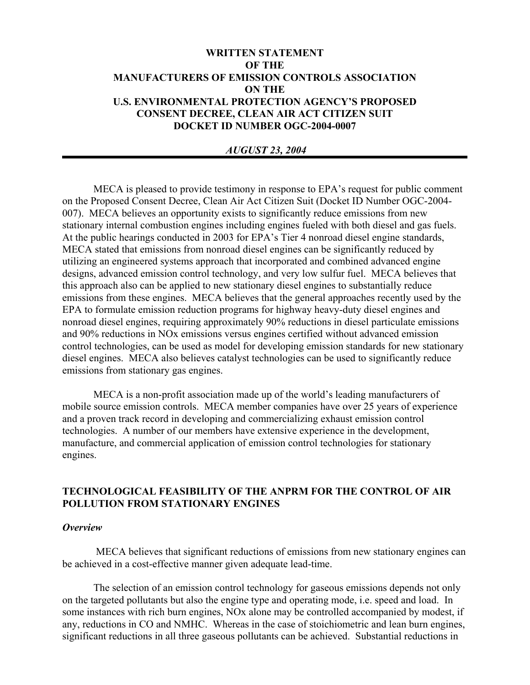# **WRITTEN STATEMENT OF THE MANUFACTURERS OF EMISSION CONTROLS ASSOCIATION ON THE U.S. ENVIRONMENTAL PROTECTION AGENCY'S PROPOSED CONSENT DECREE, CLEAN AIR ACT CITIZEN SUIT DOCKET ID NUMBER OGC-2004-0007**

### *AUGUST 23, 2004*

MECA is pleased to provide testimony in response to EPA's request for public comment on the Proposed Consent Decree, Clean Air Act Citizen Suit (Docket ID Number OGC-2004- 007). MECA believes an opportunity exists to significantly reduce emissions from new stationary internal combustion engines including engines fueled with both diesel and gas fuels. At the public hearings conducted in 2003 for EPA's Tier 4 nonroad diesel engine standards, MECA stated that emissions from nonroad diesel engines can be significantly reduced by utilizing an engineered systems approach that incorporated and combined advanced engine designs, advanced emission control technology, and very low sulfur fuel. MECA believes that this approach also can be applied to new stationary diesel engines to substantially reduce emissions from these engines. MECA believes that the general approaches recently used by the EPA to formulate emission reduction programs for highway heavy-duty diesel engines and nonroad diesel engines, requiring approximately 90% reductions in diesel particulate emissions and 90% reductions in NOx emissions versus engines certified without advanced emission control technologies, can be used as model for developing emission standards for new stationary diesel engines. MECA also believes catalyst technologies can be used to significantly reduce emissions from stationary gas engines.

MECA is a non-profit association made up of the world's leading manufacturers of mobile source emission controls. MECA member companies have over 25 years of experience and a proven track record in developing and commercializing exhaust emission control technologies. A number of our members have extensive experience in the development, manufacture, and commercial application of emission control technologies for stationary engines.

## **TECHNOLOGICAL FEASIBILITY OF THE ANPRM FOR THE CONTROL OF AIR POLLUTION FROM STATIONARY ENGINES**

#### *Overview*

 MECA believes that significant reductions of emissions from new stationary engines can be achieved in a cost-effective manner given adequate lead-time.

 The selection of an emission control technology for gaseous emissions depends not only on the targeted pollutants but also the engine type and operating mode, i.e. speed and load. In some instances with rich burn engines, NOx alone may be controlled accompanied by modest, if any, reductions in CO and NMHC. Whereas in the case of stoichiometric and lean burn engines, significant reductions in all three gaseous pollutants can be achieved. Substantial reductions in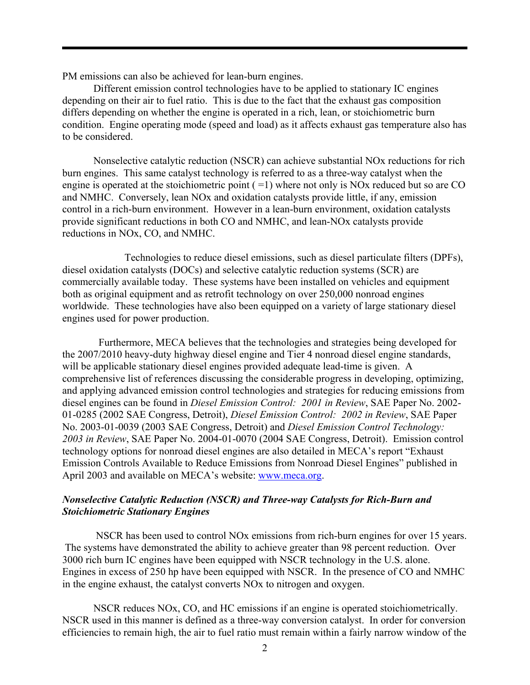PM emissions can also be achieved for lean-burn engines.

Different emission control technologies have to be applied to stationary IC engines depending on their air to fuel ratio. This is due to the fact that the exhaust gas composition differs depending on whether the engine is operated in a rich, lean, or stoichiometric burn condition. Engine operating mode (speed and load) as it affects exhaust gas temperature also has to be considered.

 Nonselective catalytic reduction (NSCR) can achieve substantial NOx reductions for rich burn engines. This same catalyst technology is referred to as a three-way catalyst when the engine is operated at the stoichiometric point  $( =1)$  where not only is NOx reduced but so are CO and NMHC. Conversely, lean NOx and oxidation catalysts provide little, if any, emission control in a rich-burn environment. However in a lean-burn environment, oxidation catalysts provide significant reductions in both CO and NMHC, and lean-NOx catalysts provide reductions in NOx, CO, and NMHC.

Technologies to reduce diesel emissions, such as diesel particulate filters (DPFs), diesel oxidation catalysts (DOCs) and selective catalytic reduction systems (SCR) are commercially available today. These systems have been installed on vehicles and equipment both as original equipment and as retrofit technology on over 250,000 nonroad engines worldwide. These technologies have also been equipped on a variety of large stationary diesel engines used for power production.

 Furthermore, MECA believes that the technologies and strategies being developed for the 2007/2010 heavy-duty highway diesel engine and Tier 4 nonroad diesel engine standards, will be applicable stationary diesel engines provided adequate lead-time is given. A comprehensive list of references discussing the considerable progress in developing, optimizing, and applying advanced emission control technologies and strategies for reducing emissions from diesel engines can be found in *Diesel Emission Control: 2001 in Review*, SAE Paper No. 2002- 01-0285 (2002 SAE Congress, Detroit), *Diesel Emission Control: 2002 in Review*, SAE Paper No. 2003-01-0039 (2003 SAE Congress, Detroit) and *Diesel Emission Control Technology: 2003 in Review*, SAE Paper No. 2004-01-0070 (2004 SAE Congress, Detroit). Emission control technology options for nonroad diesel engines are also detailed in MECA's report "Exhaust Emission Controls Available to Reduce Emissions from Nonroad Diesel Engines" published in April 2003 and available on MECA's website: www.meca.org.

### *Nonselective Catalytic Reduction (NSCR) and Three-way Catalysts for Rich-Burn and Stoichiometric Stationary Engines*

 NSCR has been used to control NOx emissions from rich-burn engines for over 15 years. The systems have demonstrated the ability to achieve greater than 98 percent reduction. Over 3000 rich burn IC engines have been equipped with NSCR technology in the U.S. alone. Engines in excess of 250 hp have been equipped with NSCR. In the presence of CO and NMHC in the engine exhaust, the catalyst converts NOx to nitrogen and oxygen.

NSCR reduces NOx, CO, and HC emissions if an engine is operated stoichiometrically. NSCR used in this manner is defined as a three-way conversion catalyst. In order for conversion efficiencies to remain high, the air to fuel ratio must remain within a fairly narrow window of the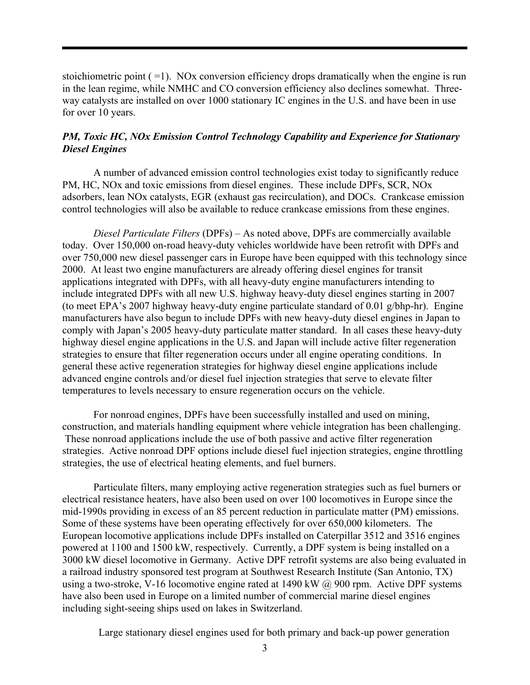stoichiometric point  $( =1)$ . NOx conversion efficiency drops dramatically when the engine is run in the lean regime, while NMHC and CO conversion efficiency also declines somewhat. Threeway catalysts are installed on over 1000 stationary IC engines in the U.S. and have been in use for over 10 years.

## *PM, Toxic HC, NOx Emission Control Technology Capability and Experience for Stationary Diesel Engines*

A number of advanced emission control technologies exist today to significantly reduce PM, HC, NOx and toxic emissions from diesel engines. These include DPFs, SCR, NOx adsorbers, lean NOx catalysts, EGR (exhaust gas recirculation), and DOCs. Crankcase emission control technologies will also be available to reduce crankcase emissions from these engines.

*Diesel Particulate Filters* (DPFs) – As noted above, DPFs are commercially available today. Over 150,000 on-road heavy-duty vehicles worldwide have been retrofit with DPFs and over 750,000 new diesel passenger cars in Europe have been equipped with this technology since 2000. At least two engine manufacturers are already offering diesel engines for transit applications integrated with DPFs, with all heavy-duty engine manufacturers intending to include integrated DPFs with all new U.S. highway heavy-duty diesel engines starting in 2007 (to meet EPA's 2007 highway heavy-duty engine particulate standard of 0.01 g/bhp-hr). Engine manufacturers have also begun to include DPFs with new heavy-duty diesel engines in Japan to comply with Japan's 2005 heavy-duty particulate matter standard. In all cases these heavy-duty highway diesel engine applications in the U.S. and Japan will include active filter regeneration strategies to ensure that filter regeneration occurs under all engine operating conditions. In general these active regeneration strategies for highway diesel engine applications include advanced engine controls and/or diesel fuel injection strategies that serve to elevate filter temperatures to levels necessary to ensure regeneration occurs on the vehicle.

For nonroad engines, DPFs have been successfully installed and used on mining, construction, and materials handling equipment where vehicle integration has been challenging. These nonroad applications include the use of both passive and active filter regeneration strategies. Active nonroad DPF options include diesel fuel injection strategies, engine throttling strategies, the use of electrical heating elements, and fuel burners.

Particulate filters, many employing active regeneration strategies such as fuel burners or electrical resistance heaters, have also been used on over 100 locomotives in Europe since the mid-1990s providing in excess of an 85 percent reduction in particulate matter (PM) emissions. Some of these systems have been operating effectively for over 650,000 kilometers. The European locomotive applications include DPFs installed on Caterpillar 3512 and 3516 engines powered at 1100 and 1500 kW, respectively. Currently, a DPF system is being installed on a 3000 kW diesel locomotive in Germany. Active DPF retrofit systems are also being evaluated in a railroad industry sponsored test program at Southwest Research Institute (San Antonio, TX) using a two-stroke, V-16 locomotive engine rated at 1490 kW  $\omega$  900 rpm. Active DPF systems have also been used in Europe on a limited number of commercial marine diesel engines including sight-seeing ships used on lakes in Switzerland.

Large stationary diesel engines used for both primary and back-up power generation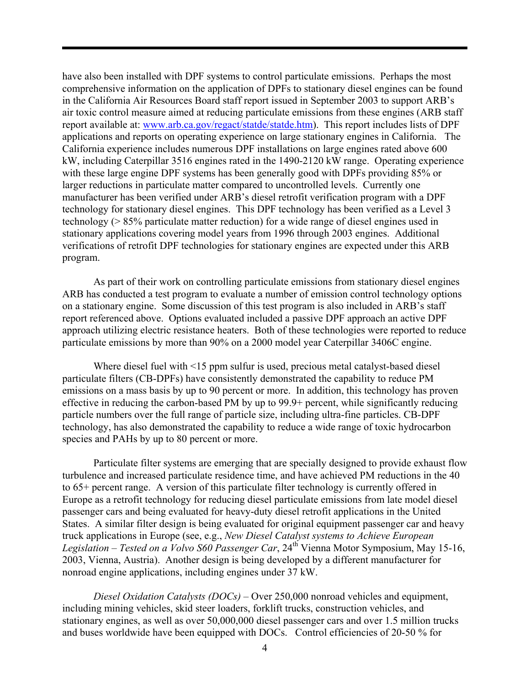have also been installed with DPF systems to control particulate emissions. Perhaps the most comprehensive information on the application of DPFs to stationary diesel engines can be found in the California Air Resources Board staff report issued in September 2003 to support ARB's air toxic control measure aimed at reducing particulate emissions from these engines (ARB staff report available at: www.arb.ca.gov/regact/statde/statde.htm). This report includes lists of DPF applications and reports on operating experience on large stationary engines in California. The California experience includes numerous DPF installations on large engines rated above 600 kW, including Caterpillar 3516 engines rated in the 1490-2120 kW range. Operating experience with these large engine DPF systems has been generally good with DPFs providing 85% or larger reductions in particulate matter compared to uncontrolled levels. Currently one manufacturer has been verified under ARB's diesel retrofit verification program with a DPF technology for stationary diesel engines. This DPF technology has been verified as a Level 3 technology (> 85% particulate matter reduction) for a wide range of diesel engines used in stationary applications covering model years from 1996 through 2003 engines. Additional verifications of retrofit DPF technologies for stationary engines are expected under this ARB program.

As part of their work on controlling particulate emissions from stationary diesel engines ARB has conducted a test program to evaluate a number of emission control technology options on a stationary engine. Some discussion of this test program is also included in ARB's staff report referenced above. Options evaluated included a passive DPF approach an active DPF approach utilizing electric resistance heaters. Both of these technologies were reported to reduce particulate emissions by more than 90% on a 2000 model year Caterpillar 3406C engine.

Where diesel fuel with <15 ppm sulfur is used, precious metal catalyst-based diesel particulate filters (CB-DPFs) have consistently demonstrated the capability to reduce PM emissions on a mass basis by up to 90 percent or more. In addition, this technology has proven effective in reducing the carbon-based PM by up to 99.9+ percent, while significantly reducing particle numbers over the full range of particle size, including ultra-fine particles. CB-DPF technology, has also demonstrated the capability to reduce a wide range of toxic hydrocarbon species and PAHs by up to 80 percent or more.

Particulate filter systems are emerging that are specially designed to provide exhaust flow turbulence and increased particulate residence time, and have achieved PM reductions in the 40 to 65+ percent range. A version of this particulate filter technology is currently offered in Europe as a retrofit technology for reducing diesel particulate emissions from late model diesel passenger cars and being evaluated for heavy-duty diesel retrofit applications in the United States. A similar filter design is being evaluated for original equipment passenger car and heavy truck applications in Europe (see, e.g., *New Diesel Catalyst systems to Achieve European Legislation – Tested on a Volvo S60 Passenger Car*, 24<sup>th</sup> Vienna Motor Symposium, May 15-16, 2003, Vienna, Austria). Another design is being developed by a different manufacturer for nonroad engine applications, including engines under 37 kW.

*Diesel Oxidation Catalysts (DOCs)* – Over 250,000 nonroad vehicles and equipment, including mining vehicles, skid steer loaders, forklift trucks, construction vehicles, and stationary engines, as well as over 50,000,000 diesel passenger cars and over 1.5 million trucks and buses worldwide have been equipped with DOCs. Control efficiencies of 20-50 % for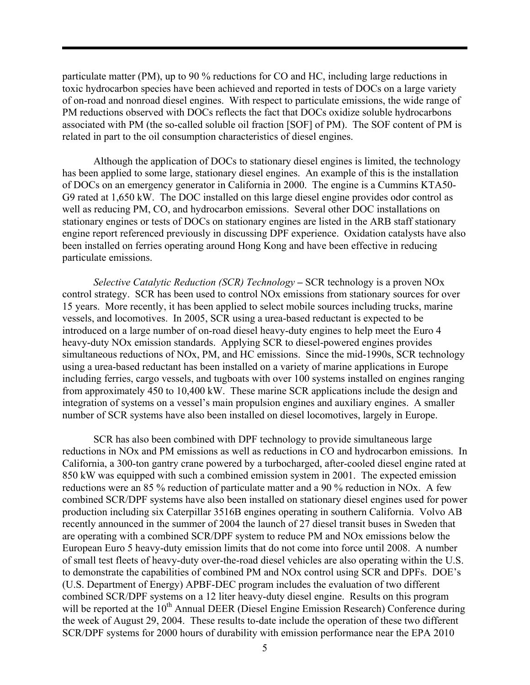particulate matter (PM), up to 90 % reductions for CO and HC, including large reductions in toxic hydrocarbon species have been achieved and reported in tests of DOCs on a large variety of on-road and nonroad diesel engines. With respect to particulate emissions, the wide range of PM reductions observed with DOCs reflects the fact that DOCs oxidize soluble hydrocarbons associated with PM (the so-called soluble oil fraction [SOF] of PM). The SOF content of PM is related in part to the oil consumption characteristics of diesel engines.

Although the application of DOCs to stationary diesel engines is limited, the technology has been applied to some large, stationary diesel engines. An example of this is the installation of DOCs on an emergency generator in California in 2000. The engine is a Cummins KTA50- G9 rated at 1,650 kW. The DOC installed on this large diesel engine provides odor control as well as reducing PM, CO, and hydrocarbon emissions. Several other DOC installations on stationary engines or tests of DOCs on stationary engines are listed in the ARB staff stationary engine report referenced previously in discussing DPF experience. Oxidation catalysts have also been installed on ferries operating around Hong Kong and have been effective in reducing particulate emissions.

*Selective Catalytic Reduction (SCR) Technology* **–** SCR technology is a proven NOx control strategy. SCR has been used to control NOx emissions from stationary sources for over 15 years. More recently, it has been applied to select mobile sources including trucks, marine vessels, and locomotives. In 2005, SCR using a urea-based reductant is expected to be introduced on a large number of on-road diesel heavy-duty engines to help meet the Euro 4 heavy-duty NOx emission standards. Applying SCR to diesel-powered engines provides simultaneous reductions of NOx, PM, and HC emissions. Since the mid-1990s, SCR technology using a urea-based reductant has been installed on a variety of marine applications in Europe including ferries, cargo vessels, and tugboats with over 100 systems installed on engines ranging from approximately 450 to 10,400 kW. These marine SCR applications include the design and integration of systems on a vessel's main propulsion engines and auxiliary engines. A smaller number of SCR systems have also been installed on diesel locomotives, largely in Europe.

SCR has also been combined with DPF technology to provide simultaneous large reductions in NOx and PM emissions as well as reductions in CO and hydrocarbon emissions. In California, a 300-ton gantry crane powered by a turbocharged, after-cooled diesel engine rated at 850 kW was equipped with such a combined emission system in 2001. The expected emission reductions were an 85 % reduction of particulate matter and a 90 % reduction in NOx. A few combined SCR/DPF systems have also been installed on stationary diesel engines used for power production including six Caterpillar 3516B engines operating in southern California. Volvo AB recently announced in the summer of 2004 the launch of 27 diesel transit buses in Sweden that are operating with a combined SCR/DPF system to reduce PM and NOx emissions below the European Euro 5 heavy-duty emission limits that do not come into force until 2008. A number of small test fleets of heavy-duty over-the-road diesel vehicles are also operating within the U.S. to demonstrate the capabilities of combined PM and NOx control using SCR and DPFs. DOE's (U.S. Department of Energy) APBF-DEC program includes the evaluation of two different combined SCR/DPF systems on a 12 liter heavy-duty diesel engine. Results on this program will be reported at the 10<sup>th</sup> Annual DEER (Diesel Engine Emission Research) Conference during the week of August 29, 2004. These results to-date include the operation of these two different SCR/DPF systems for 2000 hours of durability with emission performance near the EPA 2010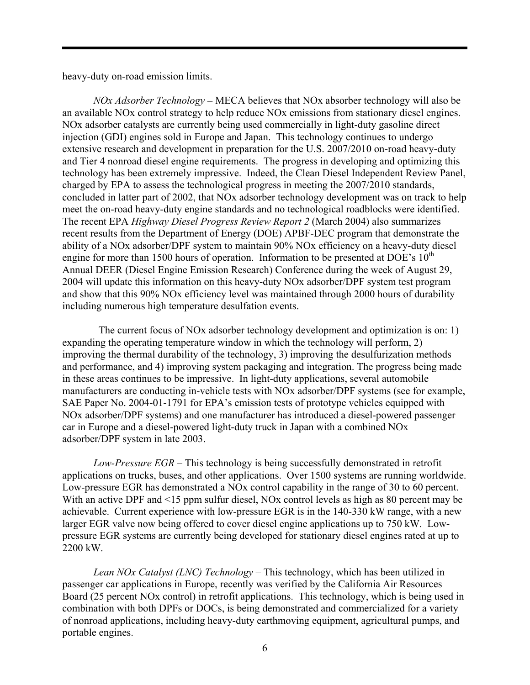heavy-duty on-road emission limits.

*NOx Adsorber Technology –* MECA believes that NOx absorber technology will also be an available NOx control strategy to help reduce NOx emissions from stationary diesel engines. NOx adsorber catalysts are currently being used commercially in light-duty gasoline direct injection (GDI) engines sold in Europe and Japan. This technology continues to undergo extensive research and development in preparation for the U.S. 2007/2010 on-road heavy-duty and Tier 4 nonroad diesel engine requirements. The progress in developing and optimizing this technology has been extremely impressive. Indeed, the Clean Diesel Independent Review Panel, charged by EPA to assess the technological progress in meeting the 2007/2010 standards, concluded in latter part of 2002, that NOx adsorber technology development was on track to help meet the on-road heavy-duty engine standards and no technological roadblocks were identified. The recent EPA *Highway Diesel Progress Review Report 2* (March 2004) also summarizes recent results from the Department of Energy (DOE) APBF-DEC program that demonstrate the ability of a NOx adsorber/DPF system to maintain 90% NOx efficiency on a heavy-duty diesel engine for more than 1500 hours of operation. Information to be presented at DOE's  $10^{th}$ Annual DEER (Diesel Engine Emission Research) Conference during the week of August 29, 2004 will update this information on this heavy-duty NOx adsorber/DPF system test program and show that this 90% NOx efficiency level was maintained through 2000 hours of durability including numerous high temperature desulfation events.

 The current focus of NOx adsorber technology development and optimization is on: 1) expanding the operating temperature window in which the technology will perform, 2) improving the thermal durability of the technology, 3) improving the desulfurization methods and performance, and 4) improving system packaging and integration. The progress being made in these areas continues to be impressive. In light-duty applications, several automobile manufacturers are conducting in-vehicle tests with NOx adsorber/DPF systems (see for example, SAE Paper No. 2004-01-1791 for EPA's emission tests of prototype vehicles equipped with NOx adsorber/DPF systems) and one manufacturer has introduced a diesel-powered passenger car in Europe and a diesel-powered light-duty truck in Japan with a combined NOx adsorber/DPF system in late 2003.

*Low-Pressure EGR* – This technology is being successfully demonstrated in retrofit applications on trucks, buses, and other applications. Over 1500 systems are running worldwide. Low-pressure EGR has demonstrated a NOx control capability in the range of 30 to 60 percent. With an active DPF and <15 ppm sulfur diesel, NOx control levels as high as 80 percent may be achievable. Current experience with low-pressure EGR is in the 140-330 kW range, with a new larger EGR valve now being offered to cover diesel engine applications up to 750 kW. Lowpressure EGR systems are currently being developed for stationary diesel engines rated at up to 2200 kW.

*Lean NOx Catalyst (LNC) Technology* – This technology, which has been utilized in passenger car applications in Europe, recently was verified by the California Air Resources Board (25 percent NOx control) in retrofit applications. This technology, which is being used in combination with both DPFs or DOCs, is being demonstrated and commercialized for a variety of nonroad applications, including heavy-duty earthmoving equipment, agricultural pumps, and portable engines.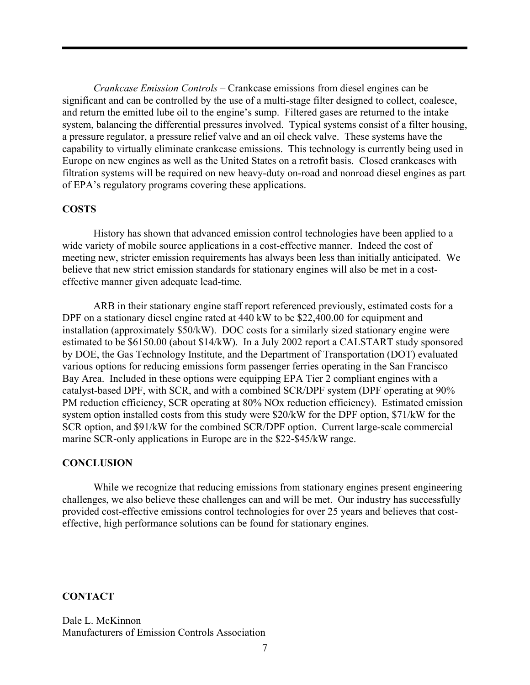*Crankcase Emission Controls* – Crankcase emissions from diesel engines can be significant and can be controlled by the use of a multi-stage filter designed to collect, coalesce, and return the emitted lube oil to the engine's sump. Filtered gases are returned to the intake system, balancing the differential pressures involved. Typical systems consist of a filter housing, a pressure regulator, a pressure relief valve and an oil check valve. These systems have the capability to virtually eliminate crankcase emissions. This technology is currently being used in Europe on new engines as well as the United States on a retrofit basis. Closed crankcases with filtration systems will be required on new heavy-duty on-road and nonroad diesel engines as part of EPA's regulatory programs covering these applications.

#### **COSTS**

History has shown that advanced emission control technologies have been applied to a wide variety of mobile source applications in a cost-effective manner. Indeed the cost of meeting new, stricter emission requirements has always been less than initially anticipated. We believe that new strict emission standards for stationary engines will also be met in a costeffective manner given adequate lead-time.

ARB in their stationary engine staff report referenced previously, estimated costs for a DPF on a stationary diesel engine rated at 440 kW to be \$22,400.00 for equipment and installation (approximately \$50/kW). DOC costs for a similarly sized stationary engine were estimated to be \$6150.00 (about \$14/kW). In a July 2002 report a CALSTART study sponsored by DOE, the Gas Technology Institute, and the Department of Transportation (DOT) evaluated various options for reducing emissions form passenger ferries operating in the San Francisco Bay Area. Included in these options were equipping EPA Tier 2 compliant engines with a catalyst-based DPF, with SCR, and with a combined SCR/DPF system (DPF operating at 90% PM reduction efficiency, SCR operating at 80% NOx reduction efficiency). Estimated emission system option installed costs from this study were \$20/kW for the DPF option, \$71/kW for the SCR option, and \$91/kW for the combined SCR/DPF option. Current large-scale commercial marine SCR-only applications in Europe are in the \$22-\$45/kW range.

#### **CONCLUSION**

 While we recognize that reducing emissions from stationary engines present engineering challenges, we also believe these challenges can and will be met. Our industry has successfully provided cost-effective emissions control technologies for over 25 years and believes that costeffective, high performance solutions can be found for stationary engines.

### **CONTACT**

Dale L. McKinnon Manufacturers of Emission Controls Association